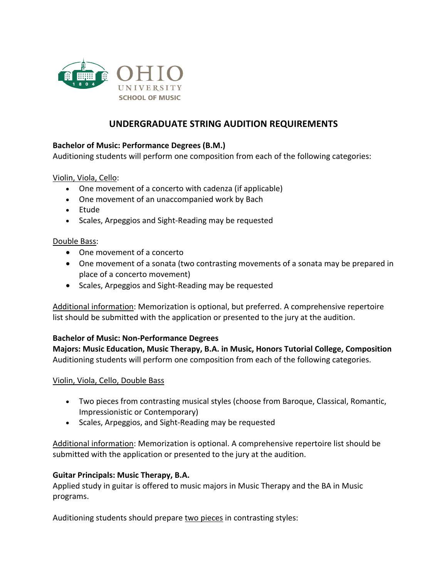

# **UNDERGRADUATE STRING AUDITION REQUIREMENTS**

## **Bachelor of Music: Performance Degrees (B.M.)**

Auditioning students will perform one composition from each of the following categories:

Violin, Viola, Cello:

- One movement of a concerto with cadenza (if applicable)
- One movement of an unaccompanied work by Bach
- Etude
- Scales, Arpeggios and Sight-Reading may be requested

#### Double Bass:

- One movement of a concerto
- One movement of a sonata (two contrasting movements of a sonata may be prepared in place of a concerto movement)
- Scales, Arpeggios and Sight-Reading may be requested

Additional information: Memorization is optional, but preferred. A comprehensive repertoire list should be submitted with the application or presented to the jury at the audition.

#### **Bachelor of Music: Non-Performance Degrees**

**Majors: Music Education, Music Therapy, B.A. in Music, Honors Tutorial College, Composition** Auditioning students will perform one composition from each of the following categories.

## Violin, Viola, Cello, Double Bass

- Two pieces from contrasting musical styles (choose from Baroque, Classical, Romantic, Impressionistic or Contemporary)
- Scales, Arpeggios, and Sight-Reading may be requested

Additional information: Memorization is optional. A comprehensive repertoire list should be submitted with the application or presented to the jury at the audition.

## **Guitar Principals: Music Therapy, B.A.**

Applied study in guitar is offered to music majors in Music Therapy and the BA in Music programs.

Auditioning students should prepare two pieces in contrasting styles: